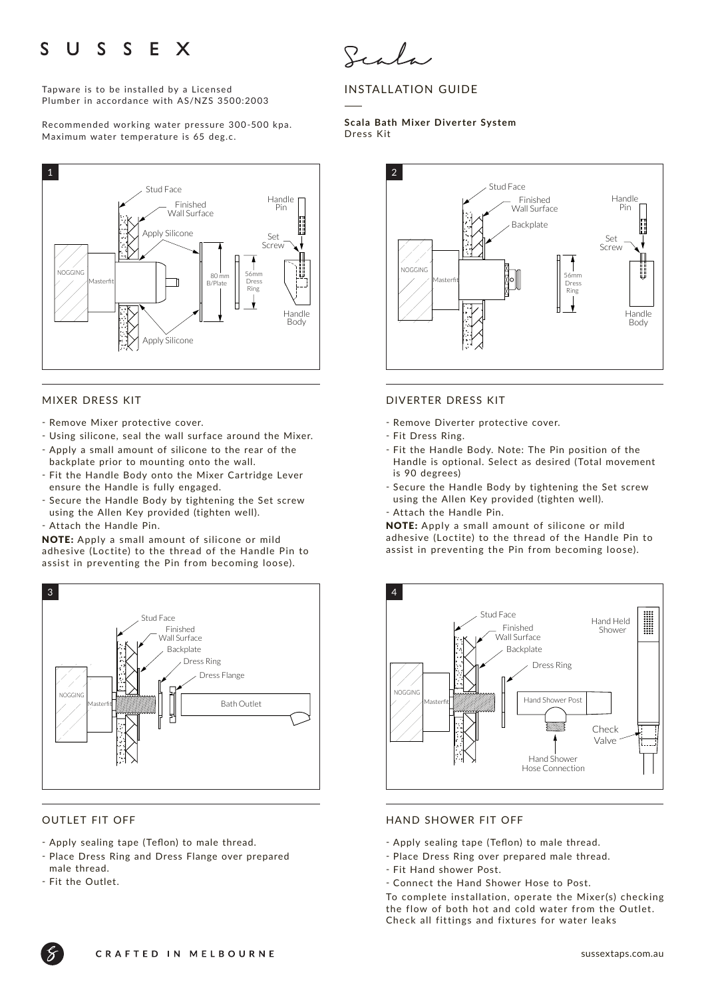#### $\mathsf{S}$  $\mathbf{U}$  $\mathsf{S}$  $\mathsf{S}$ F X

Tapware is to be installed by a Licensed Plumber in accordance with AS/NZS 3500:2003

Recommended working water pressure 300-500 kpa. Maximum water temperature is 65 deg.c.

### Stud Face Handle<br>Pin Finished Wall Surface H Silicone Set Screw NOGGING **1 1 1 1 80** mm 56mm Masterfit Dress B/Plate Ring Handle Body Apply Silicone

## MIXER DRESS KIT

- Remove Mixer protective cover.
- ҃ Using silicone, seal the wall surface around the Mixer.
- ҃ Apply a small amount of silicone to the rear of the backplate prior to mounting onto the wall.
- ҃ Fit the Handle Body onto the Mixer Cartridge Lever ensure the Handle is fully engaged.
- Secure the Handle Body by tightening the Set screw using the Allen Key provided (tighten well).
- Attach the Handle Pin.

NOTE: Apply a small amount of silicone or mild adhesive (Loctite) to the thread of the Handle Pin to assist in preventing the Pin from becoming loose).



### OUTLET FIT OFF

- Apply sealing tape (Teflon) to male thread.
- Place Dress Ring and Dress Flange over prepared male thread.
- Fit the Outlet.



# INSTALLATION GUIDE

#### **Scala Bath Mixer Diverter System**  Dress Kit



# DIVERTER DRESS KIT

- Remove Diverter protective cover.
- Fit Dress Ring.
- ҃ Fit the Handle Body. Note: The Pin position of the Handle is optional. Select as desired (Total movement is 90 degrees)
- Secure the Handle Body by tightening the Set screw using the Allen Key provided (tighten well).
- Attach the Handle Pin.

NOTE: Apply a small amount of silicone or mild adhesive (Loctite) to the thread of the Handle Pin to assist in preventing the Pin from becoming loose).



## HAND SHOWER FIT OFF

- Apply sealing tape (Teflon) to male thread.
- Place Dress Ring over prepared male thread.
- Fit Hand shower Post.
- ҃ Connect the Hand Shower Hose to Post.

To complete installation, operate the Mixer(s) checking the flow of both hot and cold water from the Outlet. Check all fittings and fixtures for water leaks